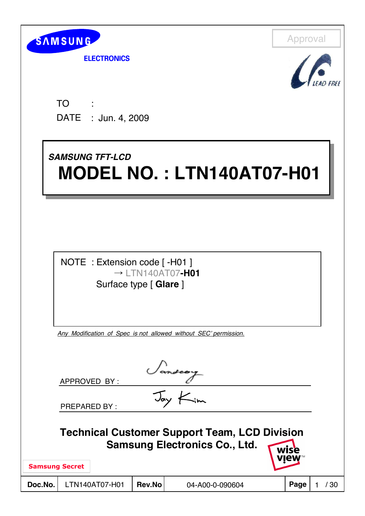

**ELECTRONICS** 



TO DATE : Jun. 4, 2009 : 15 m

# *SAMSUNG TFT-LCD SAMSUNG TFT-LCD* **MODEL NO. : LTN140AT07-H01 MODEL NO. : LTN140AT07-H01**

NOTE : Extension code [ -H01 ]  $\rightarrow$  | TN140AT07-**H01** Surface type [ **Glare** ]

*Any Modification of Spec is not allowed without SEC' permission.*

|                       | APPROVED BY:        |        |                                                                                              |              |    |
|-----------------------|---------------------|--------|----------------------------------------------------------------------------------------------|--------------|----|
|                       | <b>PREPARED BY:</b> |        | $\mathcal{I}_{\alpha}$                                                                       |              |    |
|                       |                     |        | <b>Technical Customer Support Team, LCD Division</b><br><b>Samsung Electronics Co., Ltd.</b> | wise<br>view |    |
| <b>Samsung Secret</b> |                     |        |                                                                                              |              |    |
| Doc.No.               | LTN140AT07-H01      | Rev.No | 04-A00-0-090604                                                                              | Page         | 30 |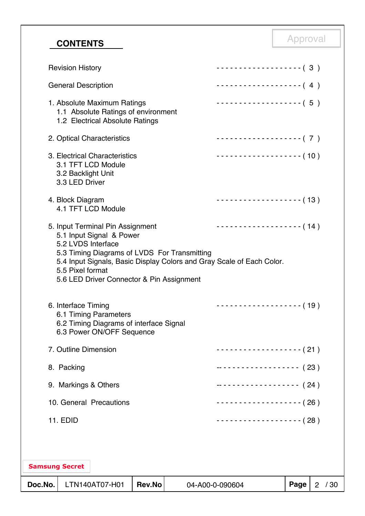# Approval **CONTENTS**

| Doc.No.               |                                        | LTN140AT07-H01                                                                                        | <b>Rev.No</b> | 04-A00-0-090604                              |                                                                       | Page | 2 / 30 |
|-----------------------|----------------------------------------|-------------------------------------------------------------------------------------------------------|---------------|----------------------------------------------|-----------------------------------------------------------------------|------|--------|
| <b>Samsung Secret</b> |                                        |                                                                                                       |               |                                              |                                                                       |      |        |
|                       | 11. EDID                               |                                                                                                       |               |                                              | $\cdots$ (28)                                                         |      |        |
|                       |                                        | 10. General Precautions                                                                               |               |                                              | -------------------- (26)                                             |      |        |
|                       |                                        | 9. Markings & Others                                                                                  |               |                                              | ------------------- (24)                                              |      |        |
|                       | 8. Packing                             |                                                                                                       |               |                                              | ------------------- (23)                                              |      |        |
|                       | 7. Outline Dimension                   |                                                                                                       |               |                                              | - - - - - - - - - - - - - - - - - - ( 21 )                            |      |        |
|                       | 6. Interface Timing                    | 6.1 Timing Parameters<br>6.2 Timing Diagrams of interface Signal<br>6.3 Power ON/OFF Sequence         |               |                                              | $------------(19)$                                                    |      |        |
|                       | 5.2 LVDS Interface<br>5.5 Pixel format | 5.6 LED Driver Connector & Pin Assignment                                                             |               | 5.3 Timing Diagrams of LVDS For Transmitting | 5.4 Input Signals, Basic Display Colors and Gray Scale of Each Color. |      |        |
|                       |                                        | 5. Input Terminal Pin Assignment<br>5.1 Input Signal & Power                                          |               |                                              | $------------(14)$                                                    |      |        |
|                       | 4. Block Diagram                       | 4.1 TFT LCD Module                                                                                    |               |                                              | $------------(13)$                                                    |      |        |
|                       | 3.2 Backlight Unit<br>3.3 LED Driver   | 3. Electrical Characteristics<br>3.1 TFT LCD Module                                                   |               |                                              | ------------------- (10)                                              |      |        |
|                       |                                        | 2. Optical Characteristics                                                                            |               |                                              | -------------------- (7)                                              |      |        |
|                       |                                        | 1. Absolute Maximum Ratings<br>1.1 Absolute Ratings of environment<br>1.2 Electrical Absolute Ratings |               |                                              | $\cdots$ (5)                                                          |      |        |
|                       | <b>General Description</b>             |                                                                                                       |               |                                              |                                                                       |      |        |
|                       | <b>Revision History</b>                |                                                                                                       |               |                                              | $------------(-3)$                                                    |      |        |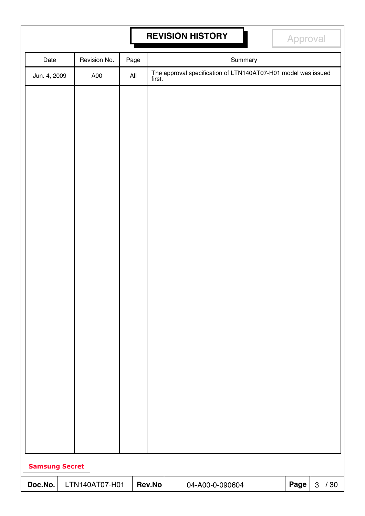# **REVISION HISTORY Approval**

| Date                  | Revision No.   | Page           |        | Summary                                                              |      |              |     |
|-----------------------|----------------|----------------|--------|----------------------------------------------------------------------|------|--------------|-----|
| Jun. 4, 2009          | A00            | $\mathsf{All}$ |        | The approval specification of LTN140AT07-H01 model was issued first. |      |              |     |
|                       |                |                |        |                                                                      |      |              |     |
|                       |                |                |        |                                                                      |      |              |     |
|                       |                |                |        |                                                                      |      |              |     |
|                       |                |                |        |                                                                      |      |              |     |
|                       |                |                |        |                                                                      |      |              |     |
|                       |                |                |        |                                                                      |      |              |     |
|                       |                |                |        |                                                                      |      |              |     |
|                       |                |                |        |                                                                      |      |              |     |
|                       |                |                |        |                                                                      |      |              |     |
|                       |                |                |        |                                                                      |      |              |     |
|                       |                |                |        |                                                                      |      |              |     |
|                       |                |                |        |                                                                      |      |              |     |
|                       |                |                |        |                                                                      |      |              |     |
|                       |                |                |        |                                                                      |      |              |     |
|                       |                |                |        |                                                                      |      |              |     |
|                       |                |                |        |                                                                      |      |              |     |
|                       |                |                |        |                                                                      |      |              |     |
|                       |                |                |        |                                                                      |      |              |     |
|                       |                |                |        |                                                                      |      |              |     |
|                       |                |                |        |                                                                      |      |              |     |
|                       |                |                |        |                                                                      |      |              |     |
|                       |                |                |        |                                                                      |      |              |     |
|                       |                |                |        |                                                                      |      |              |     |
|                       |                |                |        |                                                                      |      |              |     |
| <b>Samsung Secret</b> |                |                |        |                                                                      |      |              |     |
| Doc.No.               | LTN140AT07-H01 |                | Rev.No | 04-A00-0-090604                                                      | Page | $\mathbf{3}$ | /30 |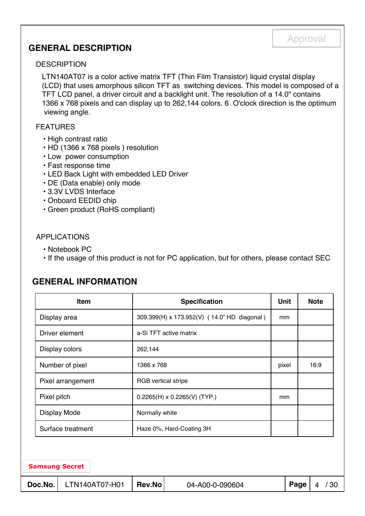### **GENERAL DESCRIPTION**

#### **DESCRIPTION**

LTN140AT07 is a color active matrix TFT (Thin Film Transistor) liquid crystal display (LCD) that uses amorphous silicon TFT as switching devices. This model is composed of a TFT LCD panel, a driver circuit and a backlight unit. The resolution of a 14.0" contains 1366 x 768 pixels and can display up to 262,144 colors. 6 O'clock direction is the optimum viewing angle.

Approval

#### FEATURES

- High contrast ratio
- HD (1366 x 768 pixels ) resolution
- Low power consumption
- Fast response time
- LED Back Light with embedded LED Driver
- DE (Data enable) only mode
- 3.3V LVDS Interface
- Onboard EEDID chip
- Green product (RoHS compliant)

#### APPLICATIONS

- Notebook PC
- If the usage of this product is not for PC application, but for others, please contact SEC

### **GENERAL INFORMATION**

| Item                  | <b>Specification</b>                        | <b>Unit</b> | <b>Note</b> |
|-----------------------|---------------------------------------------|-------------|-------------|
| Display area          | 309.399(H) x 173.952(V) (14.0" HD diagonal) | mm          |             |
| Driver element        | a-Si TFT active matrix                      |             |             |
| Display colors        | 262,144                                     |             |             |
| Number of pixel       | 1366 x 768                                  | pixel       | 16:9        |
| Pixel arrangement     | <b>RGB</b> vertical stripe                  |             |             |
| Pixel pitch           | $0.2265(H) \times 0.2265(V)$ (TYP.)         | mm          |             |
| <b>Display Mode</b>   | Normally white                              |             |             |
| Surface treatment     | Haze 0%, Hard-Coating 3H                    |             |             |
|                       |                                             |             |             |
| <b>Samsung Secret</b> |                                             |             |             |

**Doc.No.** LTN140AT07-H01 **Rev.No** 04-A00-0-090604 **Page** 4 / 30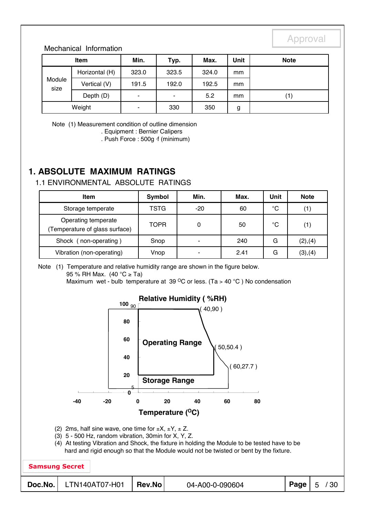#### Mechanical Information

| <b>Item</b>    |                | Min.           | Typ.  | Max.  | Unit | <b>Note</b> |
|----------------|----------------|----------------|-------|-------|------|-------------|
|                | Horizontal (H) | 323.0          | 323.5 | 324.0 | mm   |             |
| Module<br>size | Vertical (V)   | 191.5          | 192.0 | 192.5 | mm   |             |
|                | Depth (D)      | $\blacksquare$ | ۰     | 5.2   | mm   | (1)         |
|                | Weight         | -              | 330   | 350   | g    |             |

Note (1) Measurement condition of outline dimension

. Equipment : Bernier Calipers

. Push Force : 500g ⋅f (minimum)

### **1. ABSOLUTE MAXIMUM RATINGS**

#### 1.1 ENVIRONMENTAL ABSOLUTE RATINGS

| Item                                                 | Symbol      | Min.                     | Max. | Unit | <b>Note</b> |
|------------------------------------------------------|-------------|--------------------------|------|------|-------------|
| Storage temperate                                    | TSTG        | $-20$                    | 60   | °C   | (1)         |
| Operating temperate<br>Temperature of glass surface) | <b>TOPR</b> | 0                        | 50   | °C   | (1)         |
| Shock (<br>non-operating)                            | Snop        | $\blacksquare$           | 240  | G    | (2), (4)    |
| Vibration (non-operating)                            | Vnop        | $\overline{\phantom{0}}$ | 2.41 | G    | (3), (4)    |

Note (1) Temperature and relative humidity range are shown in the figure below. 95 % RH Max. (40 °C ≥ Ta) Maximum wet - bulb temperature at 39  $\mathrm{^{\circ}C}$  or less. (Ta > 40  $\mathrm{^{\circ}C}$ ) No condensation

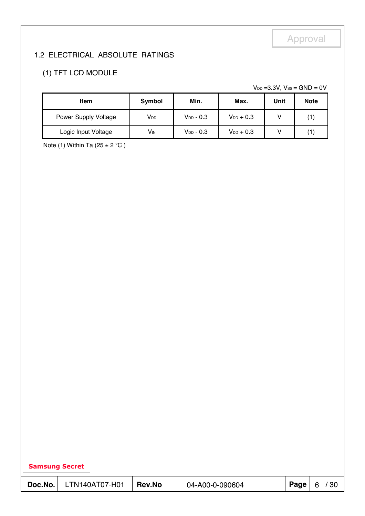### 1.2 ELECTRICAL ABSOLUTE RATINGS

### (1) TFT LCD MODULE

 $V_{DD}$  =3.3V,  $V_{SS}$  = GND = 0V

| <b>Item</b>          | Min.<br>Symbol        |                | Max.           | Unit | <b>Note</b> |
|----------------------|-----------------------|----------------|----------------|------|-------------|
| Power Supply Voltage | V <sub>DD</sub>       | $V_{DD}$ - 0.3 | $V_{DD}$ + 0.3 |      | $\mathbf 1$ |
| Logic Input Voltage  | <b>V<sub>IN</sub></b> | $V_{DD} - 0.3$ | $V_{DD}$ + 0.3 |      | 1           |

Note (1) Within Ta  $(25 \pm 2 \degree C)$ 

| <b>Samsung Secret</b> |                |        |                 |      |           |  |  |  |  |  |
|-----------------------|----------------|--------|-----------------|------|-----------|--|--|--|--|--|
| Doc.No.               | LTN140AT07-H01 | Rev.No | 04-A00-0-090604 | Page | / 30<br>6 |  |  |  |  |  |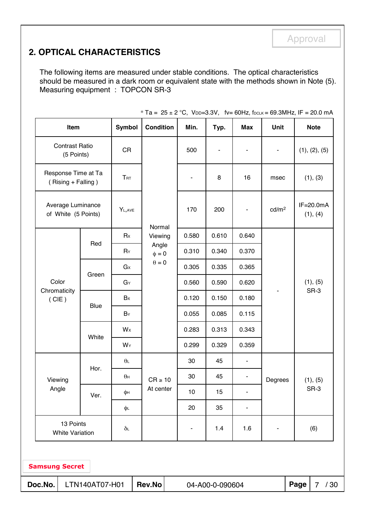### **2. OPTICAL CHARACTERISTICS**

The following items are measured under stable conditions. The optical characteristics should be measured in a dark room or equivalent state with the methods shown in Note (5). Measuring equipment : TOPCON SR-3

| <b>CR</b><br>Response Time at Ta<br>$T_{\textrm{RT}}$<br>(Rising + Falling)<br>Average Luminance<br>YL, AVE<br>of White (5 Points)<br>Rx<br>Red<br>$R_Y$ |                                      | Normal                                                                   | 500<br>170               | 8<br>200 | 16                       | msec              | (1), (2), (5)<br>(1), (3) |
|----------------------------------------------------------------------------------------------------------------------------------------------------------|--------------------------------------|--------------------------------------------------------------------------|--------------------------|----------|--------------------------|-------------------|---------------------------|
|                                                                                                                                                          |                                      |                                                                          |                          |          |                          |                   |                           |
|                                                                                                                                                          |                                      |                                                                          |                          |          |                          |                   |                           |
|                                                                                                                                                          |                                      |                                                                          |                          |          |                          | cd/m <sup>2</sup> | $IF = 20.0mA$<br>(1), (4) |
|                                                                                                                                                          |                                      | Viewing<br>Angle<br>$\phi = 0$                                           | 0.580                    | 0.610    | 0.640                    |                   | (1), (5)<br>SR-3          |
|                                                                                                                                                          |                                      |                                                                          | 0.310                    | 0.340    | 0.370                    |                   |                           |
| $G \times$                                                                                                                                               |                                      | $\theta=0$                                                               | 0.305                    | 0.335    | 0.365                    |                   |                           |
| Green<br>GY                                                                                                                                              |                                      |                                                                          | 0.560                    | 0.590    | 0.620                    |                   |                           |
|                                                                                                                                                          |                                      |                                                                          | 0.120                    | 0.150    | 0.180                    |                   |                           |
|                                                                                                                                                          |                                      |                                                                          | 0.055                    | 0.085    | 0.115                    |                   |                           |
|                                                                                                                                                          |                                      |                                                                          | 0.283                    | 0.313    | 0.343                    |                   |                           |
|                                                                                                                                                          |                                      |                                                                          | 0.299                    | 0.329    | 0.359                    |                   |                           |
|                                                                                                                                                          |                                      |                                                                          | 30                       | 45       | $\blacksquare$           |                   |                           |
|                                                                                                                                                          |                                      |                                                                          | 30                       | 45       | $\blacksquare$           |                   | (1), (5)                  |
|                                                                                                                                                          |                                      |                                                                          | $10$                     | 15       |                          |                   | SR-3                      |
|                                                                                                                                                          |                                      |                                                                          | 20                       | 35       | $\overline{\phantom{a}}$ |                   |                           |
|                                                                                                                                                          |                                      |                                                                          |                          | 1.4      | 1.6                      |                   | (6)                       |
|                                                                                                                                                          | <b>Blue</b><br>White<br>Hor.<br>Ver. | Bx<br>BY<br>Wx<br>WY<br>$\theta$<br>$\theta$ н<br>фн<br>φL<br>$\delta$ L | $CR \ge 10$<br>At center |          |                          |                   | Degrees                   |

\* Ta =  $25 \pm 2$  °C, VDD=3.3V, fv= 60Hz, fDCLK = 69.3MHz, IF = 20.0 mA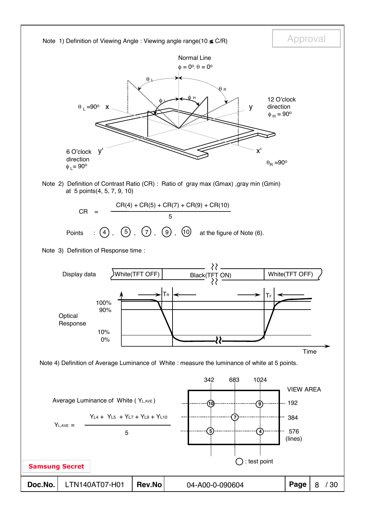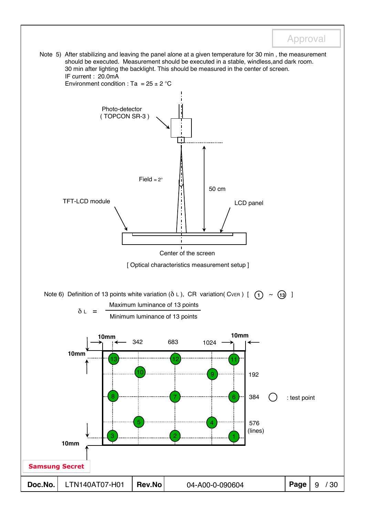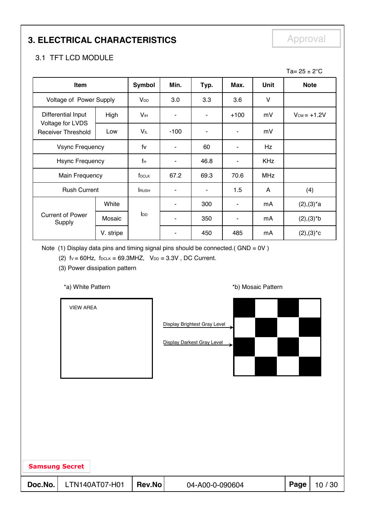# **3. ELECTRICAL CHARACTERISTICS** Approval

### 3.1 TFT LCD MODULE

|                                               |           |                       |                          |      |                |             | Ta= $25 \pm 2^{\circ}$ C |
|-----------------------------------------------|-----------|-----------------------|--------------------------|------|----------------|-------------|--------------------------|
| Item                                          |           | <b>Symbol</b>         | Min.                     | Typ. | Max.           | <b>Unit</b> | <b>Note</b>              |
| Voltage of Power Supply                       |           | <b>V<sub>DD</sub></b> | 3.0                      | 3.3  | 3.6            | V           |                          |
| Differential Input                            | High      | V <sub>IH</sub>       | $\blacksquare$           | ۰    | $+100$         | mV          | $V_{CM} = +1.2V$         |
| Voltage for LVDS<br><b>Receiver Threshold</b> | Low       | VIL                   | $-100$                   |      | ۰              | mV          |                          |
| <b>Vsync Frequency</b>                        |           | fv                    | $\overline{\phantom{a}}$ | 60   | $\blacksquare$ | Hz          |                          |
| <b>Hsync Frequency</b>                        |           | fн                    |                          | 46.8 | ٠              | <b>KHz</b>  |                          |
| Main Frequency                                |           | f <sub>DCLK</sub>     | 67.2                     | 69.3 | 70.6           | <b>MHz</b>  |                          |
| <b>Rush Current</b>                           |           | <b>RUSH</b>           | ۰                        | ٠    | 1.5            | A           | (4)                      |
|                                               | White     |                       | ۰                        | 300  | $\blacksquare$ | mA          | $(2), (3)^*a$            |
| <b>Current of Power</b><br>Supply             | Mosaic    | $I_{DD}$              | ٠                        | 350  | ٠              | mA          | $(2), (3)*b$             |
|                                               | V. stripe |                       |                          | 450  | 485            | mA          | $(2), (3)^*c$            |

Note (1) Display data pins and timing signal pins should be connected.(  $GND = OV$  )

(2)  $fv = 60Hz$ ,  $f_{DCLK} = 69.3MHz$ ,  $V_{DD} = 3.3V$ , DC Current.

(3) Power dissipation pattern

\*a) White Pattern **\*b**) Mosaic Pattern **\*b**)

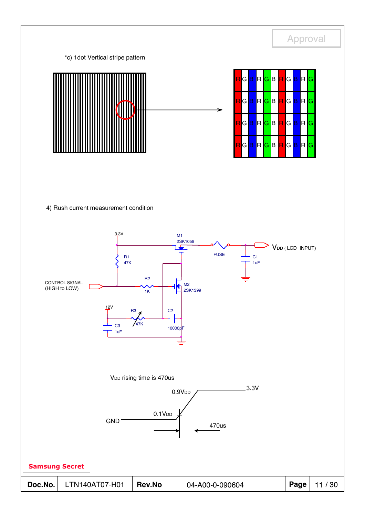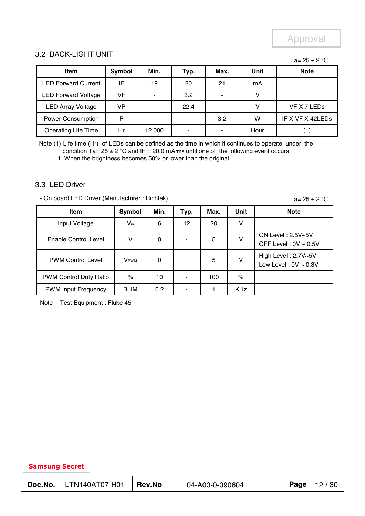#### 3.2 BACK-LIGHT UNIT

Ta=  $25 \pm 2$  °C

| <b>Item</b>                | Symbol | Min.                     | Typ. | Max. | Unit | <b>Note</b>      |
|----------------------------|--------|--------------------------|------|------|------|------------------|
| <b>LED Forward Current</b> | IF     | 19                       | 20   | 21   | mA   |                  |
| <b>LED Forward Voltage</b> | VF.    |                          | 3.2  |      |      |                  |
| <b>LED Array Voltage</b>   | VP     |                          | 22.4 |      |      | VF X 7 LEDs      |
| <b>Power Consumption</b>   | P      | $\overline{\phantom{0}}$ |      | 3.2  | w    | IF X VF X 42LEDs |
| <b>Operating Life Time</b> | Hr     | 12,000                   |      |      | Hour |                  |

Note (1) Life time (Hr) of LEDs can be defined as the time in which it continues to operate under the condition  $Ta = 25 \pm 2$  °C and IF = 20.0 mArms until one of the following event occurs.

1. When the brightness becomes 50% or lower than the original.

#### 3.3 LED Driver

- On board LED Driver (Manufacturer : Richtek)

Ta=  $25 \pm 2$  °C

| <b>Item</b>                | <b>Symbol</b>              | Min. | Typ. | Max. | Unit       | <b>Note</b>                                      |
|----------------------------|----------------------------|------|------|------|------------|--------------------------------------------------|
| Input Voltage              | $\mathsf{V}_{\mathsf{in}}$ | 6    | 12   | 20   | v          |                                                  |
| Enable Control Level       | v                          | 0    |      | 5    | v          | ON Level: 2.5V~5V<br>OFF Level: $0V \sim 0.5V$   |
| <b>PWM Control Level</b>   | <b>V</b> <sub>PWM</sub>    | 0    |      | 5    | v          | High Level: 2.7V~5V<br>Low Level: $0V \sim 0.3V$ |
| PWM Control Duty Ratio     | $\%$                       | 10   |      | 100  | %          |                                                  |
| <b>PWM Input Frequency</b> | <b>BLIM</b>                | 0.2  |      |      | <b>KHz</b> |                                                  |

Note - Test Equipment : Fluke 45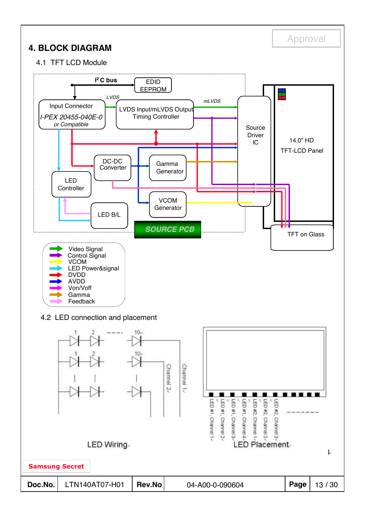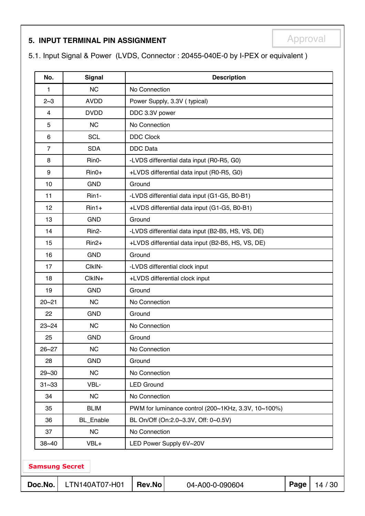# **5. INPUT TERMINAL PIN ASSIGNMENT EXAMPLE APPROVAL**

5.1. Input Signal & Power (LVDS, Connector : 20455-040E-0 by I-PEX or equivalent )

| No.            | <b>Signal</b>         |                                | <b>Description</b>                                  |      |         |  |  |  |  |
|----------------|-----------------------|--------------------------------|-----------------------------------------------------|------|---------|--|--|--|--|
| 1              | <b>NC</b>             | No Connection                  |                                                     |      |         |  |  |  |  |
| $2 - 3$        | <b>AVDD</b>           |                                | Power Supply, 3.3V (typical)                        |      |         |  |  |  |  |
| 4              | <b>DVDD</b>           |                                | DDC 3.3V power                                      |      |         |  |  |  |  |
| 5              | <b>NC</b>             |                                | No Connection                                       |      |         |  |  |  |  |
| 6              | <b>SCL</b>            | <b>DDC Clock</b>               |                                                     |      |         |  |  |  |  |
| $\overline{7}$ | <b>SDA</b>            | <b>DDC</b> Data                |                                                     |      |         |  |  |  |  |
| 8              | Rin0-                 |                                | -LVDS differential data input (R0-R5, G0)           |      |         |  |  |  |  |
| 9              | $Rin0+$               |                                | +LVDS differential data input (R0-R5, G0)           |      |         |  |  |  |  |
| 10             | <b>GND</b>            | Ground                         |                                                     |      |         |  |  |  |  |
| 11             | Rin1-                 |                                | -LVDS differential data input (G1-G5, B0-B1)        |      |         |  |  |  |  |
| 12             | $Rin1+$               |                                | +LVDS differential data input (G1-G5, B0-B1)        |      |         |  |  |  |  |
| 13             | <b>GND</b>            | Ground                         |                                                     |      |         |  |  |  |  |
| 14             | Rin <sub>2</sub> -    |                                | -LVDS differential data input (B2-B5, HS, VS, DE)   |      |         |  |  |  |  |
| 15             | $Rin2+$               |                                | +LVDS differential data input (B2-B5, HS, VS, DE)   |      |         |  |  |  |  |
| 16             | <b>GND</b>            | Ground                         |                                                     |      |         |  |  |  |  |
| 17             | CIkIN-                |                                | -LVDS differential clock input                      |      |         |  |  |  |  |
| 18             | $ClkIN+$              | +LVDS differential clock input |                                                     |      |         |  |  |  |  |
| 19             | <b>GND</b>            | Ground                         |                                                     |      |         |  |  |  |  |
| $20 - 21$      | NC                    | No Connection                  |                                                     |      |         |  |  |  |  |
| 22             | <b>GND</b>            | Ground                         |                                                     |      |         |  |  |  |  |
| $23 - 24$      | <b>NC</b>             | No Connection                  |                                                     |      |         |  |  |  |  |
| 25             | <b>GND</b>            | Ground                         |                                                     |      |         |  |  |  |  |
| $26 - 27$      | <b>NC</b>             | No Connection                  |                                                     |      |         |  |  |  |  |
| 28             | <b>GND</b>            | Ground                         |                                                     |      |         |  |  |  |  |
| $29 - 30$      | <b>NC</b>             | No Connection                  |                                                     |      |         |  |  |  |  |
| $31 - 33$      | VBL-                  | <b>LED Ground</b>              |                                                     |      |         |  |  |  |  |
| 34             | <b>NC</b>             | No Connection                  |                                                     |      |         |  |  |  |  |
| 35             | <b>BLIM</b>           |                                | PWM for luminance control (200~1KHz, 3.3V, 10~100%) |      |         |  |  |  |  |
| 36             | <b>BL_Enable</b>      |                                | BL On/Off (On:2.0~3.3V, Off: 0~0.5V)                |      |         |  |  |  |  |
| 37             | <b>NC</b>             | No Connection                  |                                                     |      |         |  |  |  |  |
| $38 - 40$      | VBL+                  |                                | LED Power Supply 6V~20V                             |      |         |  |  |  |  |
|                | <b>Samsung Secret</b> |                                |                                                     |      |         |  |  |  |  |
| Doc.No.        | LTN140AT07-H01        | Rev.No                         | 04-A00-0-090604                                     | Page | 14 / 30 |  |  |  |  |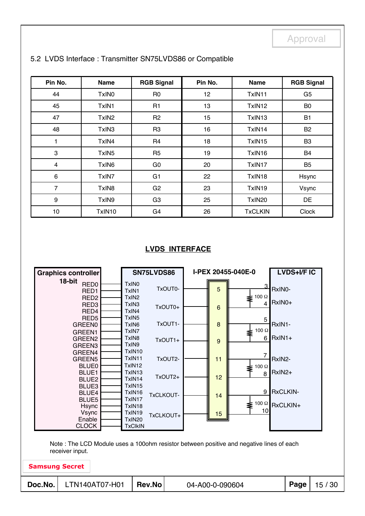| Pin No.        | <b>Name</b>       | <b>RGB Signal</b> | Pin No.         | <b>Name</b>    | <b>RGB Signal</b> |
|----------------|-------------------|-------------------|-----------------|----------------|-------------------|
| 44             | TxIN <sub>0</sub> | R <sub>0</sub>    | 12 <sub>2</sub> | TxIN11         | G <sub>5</sub>    |
| 45             | TxIN1             | R <sub>1</sub>    | 13              | TxIN12         | B <sub>0</sub>    |
| 47             | TxIN <sub>2</sub> | R <sub>2</sub>    | 15              | TxIN13         | <b>B1</b>         |
| 48             | TxIN3             | R <sub>3</sub>    | 16              | TxIN14         | <b>B2</b>         |
| 1              | TxIN4             | R <sub>4</sub>    | 18              | TxIN15         | B <sub>3</sub>    |
| 3              | TxIN <sub>5</sub> | R <sub>5</sub>    | 19              | TxIN16         | <b>B4</b>         |
| 4              | TxIN <sub>6</sub> | G <sub>0</sub>    | 20              | TxIN17         | B <sub>5</sub>    |
| 6              | TxIN7             | G <sub>1</sub>    | 22              | TxIN18         | Hsync             |
| $\overline{7}$ | TxIN8             | G <sub>2</sub>    | 23              | TxIN19         | Vsync             |
| 9              | TxIN9             | G <sub>3</sub>    | 25              | TxIN20         | DE                |
| 10             | TxIN10            | G <sub>4</sub>    | 26              | <b>TxCLKIN</b> | Clock             |

#### 5.2 LVDS Interface : Transmitter SN75LVDS86 or Compatible

#### **LVDS INTERFACE**

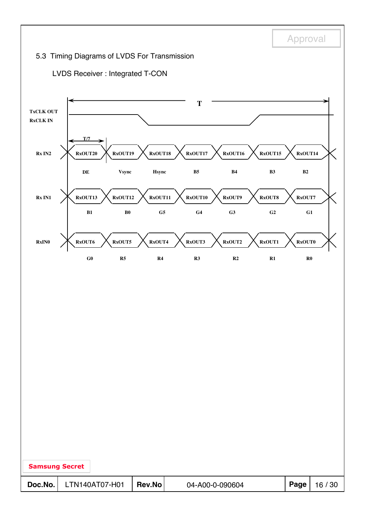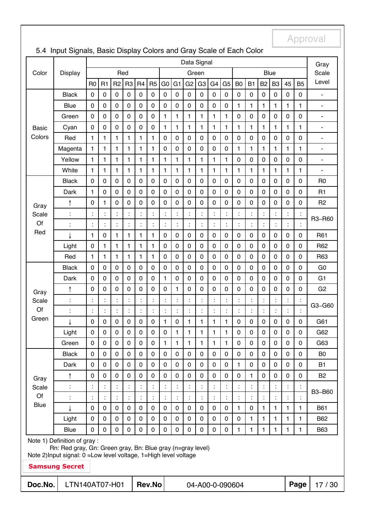|              | Data Signal                                                                                                                       |                |                |                      |                |                |                | Gray           |                |                |                      |                      |                |                |                      |                      |                |                      |                |                          |
|--------------|-----------------------------------------------------------------------------------------------------------------------------------|----------------|----------------|----------------------|----------------|----------------|----------------|----------------|----------------|----------------|----------------------|----------------------|----------------|----------------|----------------------|----------------------|----------------|----------------------|----------------|--------------------------|
| Color        | <b>Display</b>                                                                                                                    |                |                | Red                  |                |                |                |                |                |                | Green                |                      |                |                |                      |                      | Blue           |                      |                | Scale                    |
|              |                                                                                                                                   | R <sub>0</sub> | R <sub>1</sub> | R <sub>2</sub>       | R <sub>3</sub> | R <sub>4</sub> | R <sub>5</sub> | G <sub>0</sub> | G <sub>1</sub> | G <sub>2</sub> | G <sub>3</sub>       | G <sub>4</sub>       | G <sub>5</sub> | B <sub>0</sub> | <b>B1</b>            | <b>B2</b>            | B <sub>3</sub> | 45                   | <b>B5</b>      | Level                    |
|              | <b>Black</b>                                                                                                                      | $\mathbf 0$    | $\mathbf 0$    | $\mathbf 0$          | $\mathbf 0$    | $\mathbf 0$    | $\mathbf 0$    | $\mathbf 0$    | $\mathbf 0$    | 0              | $\mathbf 0$          | $\mathbf 0$          | 0              | $\mathbf 0$    | $\pmb{0}$            | $\mathbf 0$          | $\mathbf 0$    | $\mathbf 0$          | $\mathbf 0$    | $\blacksquare$           |
|              | <b>Blue</b>                                                                                                                       | $\mathbf 0$    | $\mathbf 0$    | 0                    | 0              | 0              | $\mathbf 0$    | $\mathbf 0$    | $\mathbf 0$    | 0              | $\mathbf 0$          | $\mathbf 0$          | 0              | 1              | 1                    | 1                    | 1              | 1                    | 1              | $\blacksquare$           |
|              | Green                                                                                                                             | $\mathbf 0$    | $\mathbf 0$    | $\mathbf 0$          | $\mathbf 0$    | 0              | $\mathbf 0$    | 1              | $\mathbf{1}$   | $\mathbf{1}$   | 1                    | 1                    | 1              | $\mathbf 0$    | $\mathbf 0$          | $\mathbf 0$          | $\mathbf 0$    | $\mathbf 0$          | $\mathbf 0$    | $\blacksquare$           |
| <b>Basic</b> | Cyan                                                                                                                              | $\mathbf 0$    | $\mathbf 0$    | 0                    | 0              | 0              | $\mathbf 0$    | 1              | $\mathbf{1}$   | 1              | 1                    | $\mathbf{1}$         | 1              | 1              | 1                    | 1                    | 1              | 1                    | 1              | $\frac{1}{2}$            |
| Colors       | Red                                                                                                                               | 1              | $\mathbf{1}$   | 1                    | $\mathbf{1}$   | 1              | 1              | $\mathbf 0$    | $\mathbf 0$    | 0              | $\mathbf 0$          | 0                    | 0              | 0              | $\mathbf 0$          | $\pmb{0}$            | $\pmb{0}$      | $\mathbf 0$          | 0              | $\blacksquare$           |
|              | Magenta                                                                                                                           | 1              | $\mathbf{1}$   | 1                    | $\mathbf{1}$   | 1              | 1              | 0              | $\pmb{0}$      | 0              | 0                    | 0                    | 0              | 1              | 1                    | 1                    | 1              | 1                    | 1              | $\overline{\phantom{a}}$ |
|              | Yellow                                                                                                                            | 1              | 1              | 1                    | $\mathbf{1}$   | 1              | 1              | 1              | $\mathbf{1}$   | 1              | 1                    | 1                    | 1              | $\mathbf 0$    | 0                    | $\mathbf 0$          | 0              | 0                    | $\pmb{0}$      | ۰                        |
|              | White                                                                                                                             | $\mathbf{1}$   | $\mathbf{1}$   | 1                    | $\mathbf{1}$   | 1              | 1              | $\mathbf{1}$   | $\mathbf{1}$   | 1              | $\mathbf{1}$         | $\mathbf{1}$         | $\mathbf{1}$   | $\mathbf{1}$   | 1                    | $\mathbf{1}$         | 1              | $\mathbf{1}$         | $\mathbf{1}$   | ۰                        |
|              | <b>Black</b>                                                                                                                      | $\mathbf 0$    | 0              | 0                    | 0              | 0              | 0              | 0              | $\mathbf 0$    | $\mathbf 0$    | 0                    | 0                    | 0              | 0              | $\mathbf 0$          | $\mathbf 0$          | 0              | $\mathbf 0$          | $\mathbf 0$    | R <sub>0</sub>           |
|              | Dark                                                                                                                              | 1              | 0              | 0                    | 0              | 0              | $\mathbf 0$    | 0              | $\pmb{0}$      | $\mathbf 0$    | $\mathbf 0$          | 0                    | 0              | $\mathbf 0$    | $\mathbf 0$          | $\mathbf 0$          | 0              | $\mathbf 0$          | $\mathbf 0$    | R1                       |
| Gray         | ↑                                                                                                                                 | $\pmb{0}$      | $\mathbf{1}$   | 0                    | 0              | 0              | $\mathbf 0$    | 0              | $\pmb{0}$      | $\mathbf 0$    | $\boldsymbol{0}$     | $\mathbf 0$          | 0              | $\mathbf 0$    | $\pmb{0}$            | $\mathbf 0$          | $\mathbf 0$    | $\pmb{0}$            | $\mathbf 0$    | R <sub>2</sub>           |
| Scale        | $\ddot{\cdot}$                                                                                                                    | $\ddot{\cdot}$ | İ              | $\ddot{\phantom{a}}$ | Ì.             |                |                |                | $\ddot{\cdot}$ | $\ddot{\cdot}$ | $\ddot{\cdot}$       | $\ddot{\phantom{a}}$ | Ì.             | t              | $\ddot{\phantom{a}}$ | t                    |                | $\vdots$             | İ              | R3~R60                   |
| Of           | $\ddot{\cdot}$                                                                                                                    | Ì              | İ,             | t,                   | $\ddot{\cdot}$ |                |                |                | $\vdots$       | $\ddot{\cdot}$ | $\ddot{\phantom{a}}$ | $\ddot{\cdot}$       | Ì.             |                |                      | $\vdots$             |                | $\ddot{\cdot}$       | $\ddot{\cdot}$ |                          |
| Red          |                                                                                                                                   | 1              | $\pmb{0}$      | 1                    | $\mathbf{1}$   | 1              | 1              | 0              | $\pmb{0}$      | 0              | $\boldsymbol{0}$     | $\pmb{0}$            | 0              | $\pmb{0}$      | $\pmb{0}$            | $\pmb{0}$            | 0              | $\pmb{0}$            | $\mathbf 0$    | R61                      |
|              | Light                                                                                                                             | $\pmb{0}$      | $\mathbf{1}$   | $\mathbf{1}$         | 1              | $\mathbf{1}$   | 1              | 0              | $\pmb{0}$      | $\mathbf 0$    | $\boldsymbol{0}$     | $\mathbf 0$          | 0              | $\pmb{0}$      | $\pmb{0}$            | $\pmb{0}$            | $\mathbf 0$    | $\pmb{0}$            | $\mathbf 0$    | R62                      |
|              | Red                                                                                                                               | $\mathbf{1}$   | $\mathbf{1}$   | 1                    | $\mathbf{1}$   | $\mathbf{1}$   | 1              | $\mathbf 0$    | $\mathbf 0$    | $\mathbf 0$    | $\mathbf 0$          | $\mathbf 0$          | 0              | $\mathbf 0$    | $\mathbf 0$          | $\mathbf 0$          | $\mathbf 0$    | $\mathbf 0$          | $\mathbf 0$    | R63                      |
|              | <b>Black</b>                                                                                                                      | $\mathbf 0$    | $\mathbf 0$    | 0                    | $\mathbf 0$    | $\mathbf 0$    | 0              | $\mathbf 0$    | $\mathbf 0$    | $\overline{0}$ | $\mathbf 0$          | $\mathbf 0$          | 0              | $\mathbf 0$    | $\pmb{0}$            | $\mathbf 0$          | $\mathbf 0$    | $\mathbf 0$          | $\overline{0}$ | G <sub>0</sub>           |
|              | Dark                                                                                                                              | $\mathbf 0$    | $\mathbf 0$    | $\mathbf 0$          | 0              | 0              | $\mathbf 0$    | 1              | $\mathbf 0$    | 0              | $\mathbf 0$          | $\mathbf 0$          | 0              | $\mathbf 0$    | $\mathbf 0$          | $\mathbf 0$          | $\mathbf 0$    | $\mathbf 0$          | $\mathbf 0$    | G <sub>1</sub>           |
| Gray         | ↑                                                                                                                                 | $\pmb{0}$      | $\mathbf 0$    | 0                    | 0              | 0              | $\mathbf 0$    | 0              | $\mathbf{1}$   | 0              | $\mathbf 0$          | $\mathbf 0$          | 0              | 0              | $\mathbf 0$          | $\pmb{0}$            | 0              | $\pmb{0}$            | 0              | G <sub>2</sub>           |
| Scale        | $\ddot{\cdot}$                                                                                                                    | Ì              | Ì.             | Ì.                   | t,             |                |                |                | Ì              | t.             | $\ddot{\cdot}$       | $\ddot{\phantom{a}}$ | Ì.             | t              | $\ddot{\phantom{a}}$ |                      |                | $\vdots$             | $\ddot{\cdot}$ | G3~G60                   |
| Of           | $\ddot{\cdot}$                                                                                                                    | Ì              | $\ddot{\cdot}$ | Ì.                   | Ì.             |                | $\vdots$       |                | $\ddot{\cdot}$ | $\ddot{\cdot}$ | $\ddot{\cdot}$       | $\ddot{\cdot}$       | Ì.             | $\vdots$       | İ                    | $\ddot{\cdot}$       |                | $\ddot{\phantom{a}}$ |                |                          |
| Green        | ↓                                                                                                                                 | 0              | 0              | 0                    | 0              | 0              | 0              | 1              | $\pmb{0}$      | 1              | 1                    | 1                    | 1              | 0              | 0                    | $\pmb{0}$            | 0              | $\pmb{0}$            | 0              | G61                      |
|              | Light                                                                                                                             | 0              | $\pmb{0}$      | 0                    | 0              | 0              | 0              | $\pmb{0}$      | $\mathbf{1}$   | 1              | 1.                   | 1.                   | 1              | 0              | 0                    | 0                    | $\pmb{0}$      | $\mathbf 0$          | 0              | G62                      |
|              | Green                                                                                                                             | $\mathbf 0$    | $\mathbf 0$    | $\mathbf 0$          | 0              | $\mathbf 0$    | $\mathbf 0$    | 1              | $\mathbf{1}$   | 1              | 1                    | $\mathbf{1}$         | $\mathbf{1}$   | $\mathbf 0$    | $\mathbf 0$          | $\mathbf 0$          | 0              | $\mathbf 0$          | 0              | G63                      |
|              | <b>Black</b>                                                                                                                      | $\mathbf 0$    | $\mathbf 0$    | 0                    | 0              | 0              | $\mathbf 0$    | $\mathbf 0$    | $\mathbf 0$    | $\overline{0}$ | $\mathbf 0$          | $\mathbf 0$          | 0              | $\mathbf 0$    | $\mathbf 0$          | $\mathbf 0$          | $\mathbf 0$    | $\mathbf 0$          | $\mathbf 0$    | B <sub>0</sub>           |
|              | Dark                                                                                                                              | $\mathbf 0$    | $\mathbf 0$    | $\mathbf 0$          | 0              | 0              | $\mathbf 0$    | $\mathbf 0$    | $\mathbf 0$    | $\mathbf 0$    | $\mathbf 0$          | $\mathbf 0$          | 0              | 1              | $\mathbf 0$          | $\mathbf 0$          | $\mathbf 0$    | $\mathbf 0$          | $\mathbf 0$    | B <sub>1</sub>           |
| Gray         | ↑                                                                                                                                 | $\mathbf 0$    | $\mathbf 0$    | $\mathbf 0$          | $\mathbf 0$    | $\mathbf 0$    | $\mathbf 0$    | $\mathbf 0$    | $\mathbf 0$    | $\overline{0}$ | $\mathbf 0$          | $\mathbf 0$          | 0              | $\mathbf 0$    | 1                    | $\mathbf 0$          | $\mathbf 0$    | $\mathbf 0$          | $\mathbf 0$    | B <sub>2</sub>           |
| Scale        |                                                                                                                                   | $\ddot{\cdot}$ | İ              | Ì.                   |                |                |                |                | $\ddot{\cdot}$ | $\ddot{\cdot}$ | $\ddot{\cdot}$       | Ì.                   | Ì.             |                | İ                    |                      |                |                      |                | B3~B60                   |
| Of           | İ                                                                                                                                 | $\ddot{\cdot}$ | $\ddot{\cdot}$ |                      |                |                |                |                | $\ddot{\cdot}$ | $\ddot{\cdot}$ | ÷,                   | $\ddot{\cdot}$       | Ì.             | İ              | $\ddot{\cdot}$       | $\ddot{\phantom{a}}$ |                | $\ddot{\phantom{a}}$ |                |                          |
| Blue         |                                                                                                                                   | $\pmb{0}$      | $\mathbf 0$    | 0                    | 0              | $\pmb{0}$      | $\mathbf 0$    | $\mathbf 0$    | $\pmb{0}$      | 0              | $\pmb{0}$            | $\mathbf 0$          | 0              | $\mathbf{1}$   | $\pmb{0}$            | 1                    | 1              | 1                    | 1              | <b>B61</b>               |
|              | Light                                                                                                                             | $\mathbf 0$    | $\mathbf 0$    | $\mathbf 0$          | $\mathbf 0$    | $\mathbf 0$    | $\mathbf 0$    | $\mathbf 0$    | $\mathbf 0$    | $\overline{0}$ | $\mathbf 0$          | $\mathbf 0$          | 0              | $\mathbf 0$    | $\mathbf{1}$         | 1                    | 1              | 1                    | 1              | B62                      |
|              | <b>Blue</b>                                                                                                                       | 0              | $\mathbf 0$    | 0                    | $\mathbf 0$    | $\mathbf 0$    | $\mathbf 0$    | $\mathbf 0$    | $\mathbf 0$    | 0              | $\mathbf 0$          | $\mathbf 0$          | 0              | $\mathbf{1}$   | $\mathbf{1}$         | $\mathbf{1}$         | 1              | $\mathbf{1}$         | $\mathbf{1}$   | <b>B63</b>               |
|              | Note 1) Definition of gray :                                                                                                      |                |                |                      |                |                |                |                |                |                |                      |                      |                |                |                      |                      |                |                      |                |                          |
|              | Rn: Red gray, Gn: Green gray, Bn: Blue gray (n=gray level)<br>Note 2) Input signal: 0 = Low level voltage, 1 = High level voltage |                |                |                      |                |                |                |                |                |                |                      |                      |                |                |                      |                      |                |                      |                |                          |
|              | <b>Samsung Secret</b>                                                                                                             |                |                |                      |                |                |                |                |                |                |                      |                      |                |                |                      |                      |                |                      |                |                          |
| Doc.No.      | LTN140AT07-H01                                                                                                                    |                |                |                      |                |                | <b>Rev.No</b>  |                |                |                | 04-A00-0-090604      |                      |                |                |                      |                      |                |                      | Page           | 17/30                    |
|              |                                                                                                                                   |                |                |                      |                |                |                |                |                |                |                      |                      |                |                |                      |                      |                |                      |                |                          |

## 5.4 Input Signals, Basic Display Colors and Gray Scale of Each Color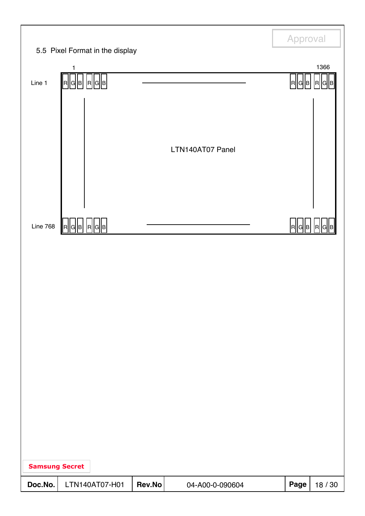|                       |                                                 |        |                  | Approval |         |
|-----------------------|-------------------------------------------------|--------|------------------|----------|---------|
|                       | 5.5 Pixel Format in the display<br>$\mathbf{1}$ |        |                  |          | 1366    |
| Line 1                | R  G  B   R  G  B                               |        |                  | R  G  B  | R  G    |
|                       |                                                 |        |                  |          |         |
|                       |                                                 |        |                  |          |         |
|                       |                                                 |        | LTN140AT07 Panel |          |         |
|                       |                                                 |        |                  |          |         |
|                       |                                                 |        |                  |          |         |
|                       |                                                 |        |                  |          |         |
| <b>Line 768</b>       | R  G  B   R  G  B                               |        |                  | R  G  B  | IRI     |
|                       |                                                 |        |                  |          |         |
|                       |                                                 |        |                  |          |         |
|                       |                                                 |        |                  |          |         |
|                       |                                                 |        |                  |          |         |
|                       |                                                 |        |                  |          |         |
|                       |                                                 |        |                  |          |         |
|                       |                                                 |        |                  |          |         |
|                       |                                                 |        |                  |          |         |
|                       |                                                 |        |                  |          |         |
|                       |                                                 |        |                  |          |         |
|                       |                                                 |        |                  |          |         |
| <b>Samsung Secret</b> |                                                 |        |                  |          |         |
| Doc.No.               | LTN140AT07-H01                                  | Rev.No | 04-A00-0-090604  | Page     | 18 / 30 |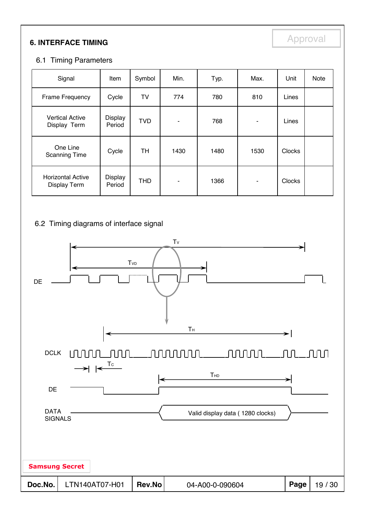# **6. INTERFACE TIMING**

### 6.1 Timing Parameters

| Signal                                   | Item              | Symbol     | Min. | Typ. | Max. | Unit          | Note |
|------------------------------------------|-------------------|------------|------|------|------|---------------|------|
| Frame Frequency                          | Cycle             | TV         | 774  | 780  | 810  | Lines         |      |
| <b>Vertical Active</b><br>Display Term   | Display<br>Period | <b>TVD</b> | ۰    | 768  | ۰    | Lines         |      |
| One Line<br><b>Scanning Time</b>         | Cycle             | TH         | 1430 | 1480 | 1530 | <b>Clocks</b> |      |
| <b>Horizontal Active</b><br>Display Term | Display<br>Period | <b>THD</b> | ٠    | 1366 | ۰    | <b>Clocks</b> |      |

#### 6.2 Timing diagrams of interface signal

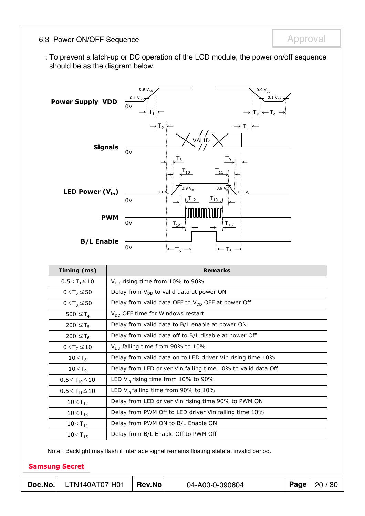### 6.3 Power ON/OFF Sequence **Approval** Approval

: To prevent a latch-up or DC operation of the LCD module, the power on/off sequence should be as the diagram below.



| Timing (ms)                                                                             | <b>Remarks</b>                                               |  |  |  |  |
|-----------------------------------------------------------------------------------------|--------------------------------------------------------------|--|--|--|--|
| $0.5 < T_1 \le 10$                                                                      | $V_{DD}$ rising time from 10% to 90%                         |  |  |  |  |
| $0 < T_2 \le 50$                                                                        | Delay from $V_{DD}$ to valid data at power ON                |  |  |  |  |
| $0 < T_3 \le 50$                                                                        | Delay from valid data OFF to $V_{DD}$ OFF at power Off       |  |  |  |  |
| 500 $\leq$ T <sub>4</sub>                                                               | $V_{DD}$ OFF time for Windows restart                        |  |  |  |  |
| $200 \leq T_5$                                                                          | Delay from valid data to B/L enable at power ON              |  |  |  |  |
| $200 \leq T_6$                                                                          | Delay from valid data off to B/L disable at power Off        |  |  |  |  |
| $0 < T_7 \le 10$                                                                        | $V_{DD}$ falling time from 90% to 10%                        |  |  |  |  |
| $10 < T_8$                                                                              | Delay from valid data on to LED driver Vin rising time 10%   |  |  |  |  |
| $10 < T_{9}$                                                                            | Delay from LED driver Vin falling time 10% to valid data Off |  |  |  |  |
| $0.5 < T_{10} \le 10$                                                                   | LED $V_{in}$ rising time from 10% to 90%                     |  |  |  |  |
| $0.5 < T_{11} \le 10$                                                                   | LED $V_{in}$ falling time from 90% to 10%                    |  |  |  |  |
| $10 < T_{12}$                                                                           | Delay from LED driver Vin rising time 90% to PWM ON          |  |  |  |  |
| $10 < T_{13}$                                                                           | Delay from PWM Off to LED driver Vin falling time 10%        |  |  |  |  |
| $10 < T_{14}$                                                                           | Delay from PWM ON to B/L Enable ON                           |  |  |  |  |
| $10 < T_{15}$                                                                           | Delay from B/L Enable Off to PWM Off                         |  |  |  |  |
| Note: Backlight may flash if interface signal remains floating state at invalid period. |                                                              |  |  |  |  |

Samsung Secret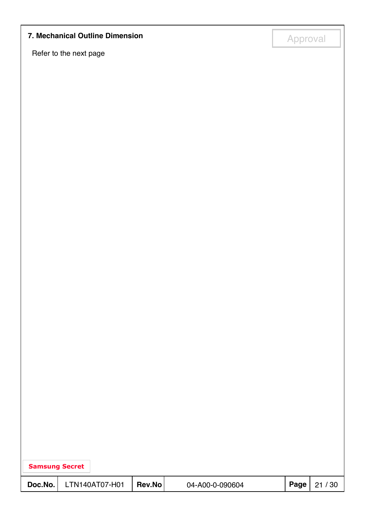# **7. Mechanical Outline Dimension**<br> **14. Approval**

Refer to the next page

| <b>Samsung Secret</b> |                |        |                 |      |       |
|-----------------------|----------------|--------|-----------------|------|-------|
| Doc.No.               | LTN140AT07-H01 | Rev.No | 04-A00-0-090604 | Page | 21/30 |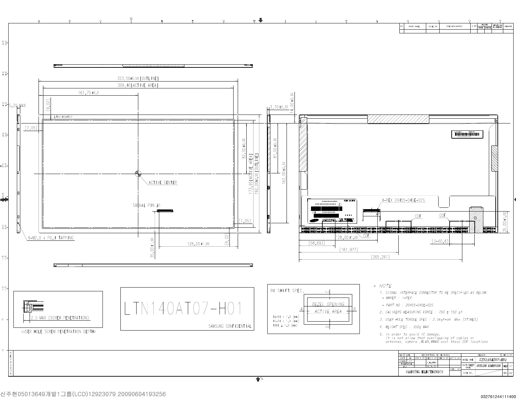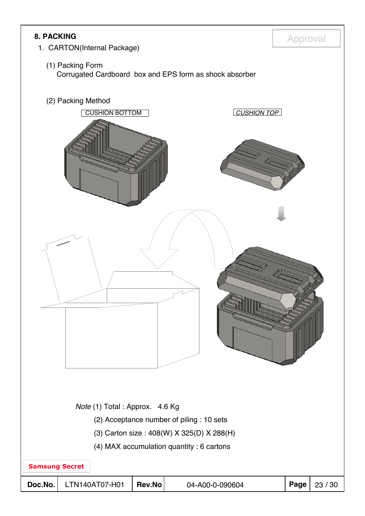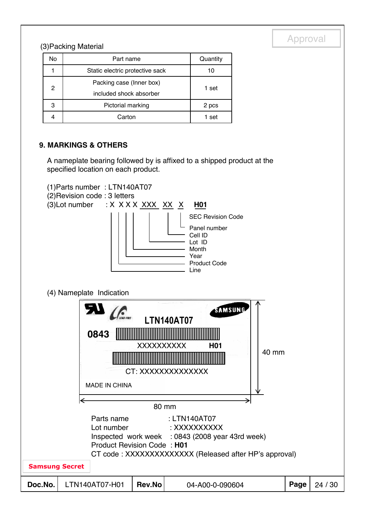# (3) Packing Material and the contract of the contract of the contract of the contract of the contract of the contract of the contract of the contract of the contract of the contract of the contract of the contract of the c

| No | Part name                       | Quantity |  |  |
|----|---------------------------------|----------|--|--|
|    | Static electric protective sack | 10       |  |  |
| 2  | Packing case (Inner box)        |          |  |  |
|    | included shock absorber         | 1 set    |  |  |
| 3  | Pictorial marking               | 2 pcs    |  |  |
|    | Carton                          | 1 set    |  |  |

#### **9. MARKINGS & OTHERS**

A nameplate bearing followed by is affixed to a shipped product at the specified location on each product.

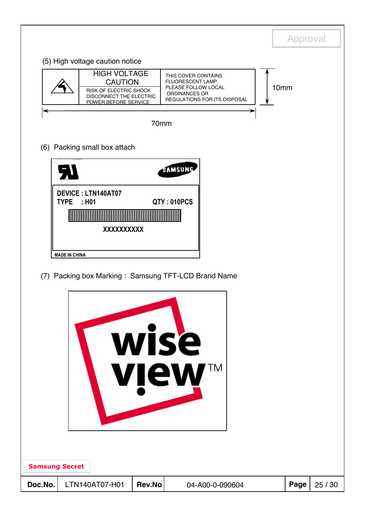|         |                                                                                                                           |        |                                                                                                                                | Approval         |         |
|---------|---------------------------------------------------------------------------------------------------------------------------|--------|--------------------------------------------------------------------------------------------------------------------------------|------------------|---------|
|         | (5) High voltage caution notice                                                                                           |        |                                                                                                                                |                  |         |
|         | <b>HIGH VOLTAGE</b><br><b>CAUTION</b><br>RISK OF ELECTRIC SHOCK<br><b>DISCONNECT THE ELECTRIC</b><br>POWER BEFORE SERVICE |        | THIS COVER CONTAINS<br><b>FLUORESCENT LAMP.</b><br>PLEASE FOLLOW LOCAL<br>ORDINANCES OR<br><b>REGULATIONS FOR ITS DISPOSAL</b> | 10 <sub>mm</sub> |         |
|         |                                                                                                                           | 70mm   |                                                                                                                                |                  |         |
|         | (6) Packing small box attach                                                                                              |        |                                                                                                                                |                  |         |
|         |                                                                                                                           |        | SAMSUNG                                                                                                                        |                  |         |
|         | <b>DEVICE: LTN140AT07</b>                                                                                                 |        |                                                                                                                                |                  |         |
|         | <b>TYPE</b><br>: H <sub>01</sub>                                                                                          |        | QTY: 010PCS                                                                                                                    |                  |         |
|         | XXXXXXXXXX                                                                                                                |        |                                                                                                                                |                  |         |
|         | <b>MADE IN CHINA</b>                                                                                                      |        |                                                                                                                                |                  |         |
|         |                                                                                                                           |        | (7) Packing box Marking: Samsung TFT-LCD Brand Name                                                                            |                  |         |
|         |                                                                                                                           |        |                                                                                                                                |                  |         |
|         |                                                                                                                           |        |                                                                                                                                |                  |         |
|         |                                                                                                                           |        | wise                                                                                                                           |                  |         |
|         |                                                                                                                           |        |                                                                                                                                |                  |         |
|         |                                                                                                                           |        | TΜ<br><b>view</b>                                                                                                              |                  |         |
|         |                                                                                                                           |        |                                                                                                                                |                  |         |
|         |                                                                                                                           |        |                                                                                                                                |                  |         |
|         |                                                                                                                           |        |                                                                                                                                |                  |         |
|         |                                                                                                                           |        |                                                                                                                                |                  |         |
|         | <b>Samsung Secret</b>                                                                                                     |        |                                                                                                                                |                  |         |
| Doc.No. | LTN140AT07-H01                                                                                                            | Rev.No | 04-A00-0-090604                                                                                                                | Page             | 25 / 30 |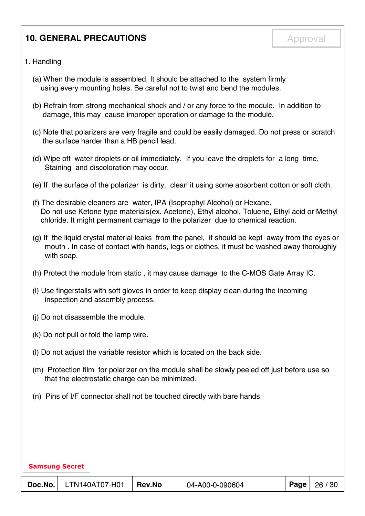### **10. GENERAL PRECAUTIONS Approval**

#### 1. Handling

- (a) When the module is assembled, It should be attached to the system firmly using every mounting holes. Be careful not to twist and bend the modules.
- (b) Refrain from strong mechanical shock and / or any force to the module. In addition to damage, this may cause improper operation or damage to the module.
- (c) Note that polarizers are very fragile and could be easily damaged. Do not press or scratch the surface harder than a HB pencil lead.
- (d) Wipe off water droplets or oil immediately. If you leave the droplets for a long time, Staining and discoloration may occur.
- (e) If the surface of the polarizer is dirty, clean it using some absorbent cotton or soft cloth.
- (f) The desirable cleaners are water, IPA (Isoprophyl Alcohol) or Hexane. Do not use Ketone type materials(ex. Acetone), Ethyl alcohol, Toluene, Ethyl acid or Methyl chloride. It might permanent damage to the polarizer due to chemical reaction.
- (g) If the liquid crystal material leaks from the panel, it should be kept away from the eyes or mouth . In case of contact with hands, legs or clothes, it must be washed away thoroughly with soap.
- (h) Protect the module from static , it may cause damage to the C-MOS Gate Array IC.
- (i) Use fingerstalls with soft gloves in order to keep display clean during the incoming inspection and assembly process.
- (j) Do not disassemble the module.
- (k) Do not pull or fold the lamp wire.
- (l) Do not adjust the variable resistor which is located on the back side.
- (m) Protection film for polarizer on the module shall be slowly peeled off just before use so that the electrostatic charge can be minimized.
- (n) Pins of I/F connector shall not be touched directly with bare hands.

| <b>Samsung Secret</b> |                |        |                 |          |         |
|-----------------------|----------------|--------|-----------------|----------|---------|
| Doc.No.               | LTN140AT07-H01 | Rev.No | 04-A00-0-090604 | Page $ $ | 26 / 30 |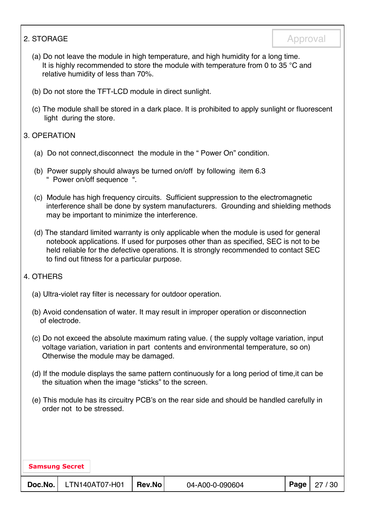#### 2. STORAGE Approval

- (a) Do not leave the module in high temperature, and high humidity for a long time. It is highly recommended to store the module with temperature from 0 to 35 °C and relative humidity of less than 70%.
- (b) Do not store the TFT-LCD module in direct sunlight.
- (c) The module shall be stored in a dark place. It is prohibited to apply sunlight or fluorescent light during the store.

#### 3. OPERATION

- (a) Do not connect,disconnect the module in the " Power On" condition.
- (b) Power supply should always be turned on/off by following item 6.3 " Power on/off sequence ".
- (c) Module has high frequency circuits. Sufficient suppression to the electromagnetic interference shall be done by system manufacturers. Grounding and shielding methods may be important to minimize the interference.
- (d) The standard limited warranty is only applicable when the module is used for general notebook applications. If used for purposes other than as specified, SEC is not to be held reliable for the defective operations. It is strongly recommended to contact SEC to find out fitness for a particular purpose.

#### 4. OTHERS

- (a) Ultra-violet ray filter is necessary for outdoor operation.
- (b) Avoid condensation of water. It may result in improper operation or disconnection of electrode.
- (c) Do not exceed the absolute maximum rating value. ( the supply voltage variation, input voltage variation, variation in part contents and environmental temperature, so on) Otherwise the module may be damaged.
- (d) If the module displays the same pattern continuously for a long period of time,it can be the situation when the image "sticks" to the screen.
- (e) This module has its circuitry PCB's on the rear side and should be handled carefully in order not to be stressed.

|  | <b>Samsung Secret</b> |  |
|--|-----------------------|--|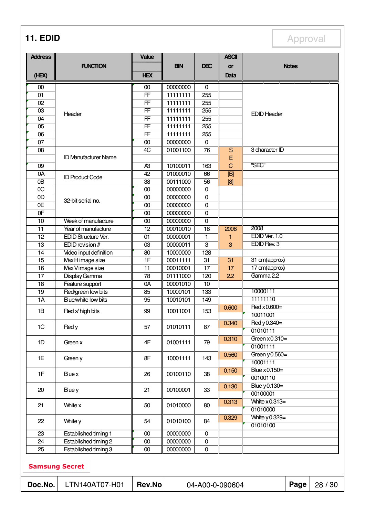**11. EDID** Approval

| <b>Address</b>                      |                                            | Value           |                      |                        | <b>ASCII</b>    |                              |              |       |
|-------------------------------------|--------------------------------------------|-----------------|----------------------|------------------------|-----------------|------------------------------|--------------|-------|
|                                     | <b>FUNCTION</b>                            |                 | <b>BIN</b>           | <b>DEC</b>             | or              |                              | <b>Notes</b> |       |
| (HEX)                               |                                            | <b>HEX</b>      |                      |                        | Data            |                              |              |       |
| $00\,$                              |                                            | 00              | 00000000             | 0                      |                 |                              |              |       |
| 01                                  |                                            | FF              | 11111111             | 255                    |                 |                              |              |       |
| 02                                  |                                            | FF              | 11111111             | 255                    |                 |                              |              |       |
| 03                                  |                                            | FF              | 11111111             | 255                    |                 |                              |              |       |
| 04                                  | Header                                     | FF              | 11111111             | 255                    |                 | <b>EDID Header</b>           |              |       |
| 05                                  |                                            | FF              | 11111111             | 255                    |                 |                              |              |       |
| 06                                  |                                            | FF              | 11111111             | 255                    |                 |                              |              |       |
| 07                                  |                                            | 00              | 00000000             | $\overline{0}$         |                 |                              |              |       |
| 08                                  |                                            | 4C              | 01001100             | $\overline{76}$        | $\overline{S}$  | 3 character ID               |              |       |
|                                     | <b>ID Manufacturer Name</b>                |                 |                      |                        | E               |                              |              |       |
| 09                                  |                                            | A <sub>3</sub>  | 10100011             | 163                    | $\overline{C}$  | "SEC"                        |              |       |
| 0A                                  | <b>ID Product Code</b>                     | $\overline{42}$ | 01000010             | 66                     | [B]             |                              |              |       |
| 0B                                  |                                            | 38              | 00111000             | 56                     | [8]             |                              |              |       |
| $\overline{OC}$                     |                                            | 00              | 00000000             | $\overline{0}$         |                 |                              |              |       |
| 0D                                  | 32-bit serial no.                          | 00              | 00000000             | $\mathbf 0$            |                 |                              |              |       |
| 0E                                  |                                            | $\overline{00}$ | 00000000             | $\mathbf 0$            |                 |                              |              |       |
| 0 <sub>F</sub>                      |                                            | 00              | 00000000             | $\mathbf 0$            |                 |                              |              |       |
| $\overline{10}$                     | Week of manufacture                        | 00              | 00000000             | $\mathbf 0$            |                 |                              |              |       |
| 11                                  | Year of manufacture                        | 12              | 00010010             | 18                     | 2008            | 2008                         |              |       |
| 12                                  | EDID Structure Ver.                        | 01              | 00000001             | 1                      | 1               | EDID Ver. 1.0<br>EDID Rev. 3 |              |       |
| $\overline{13}$                     | EDID revision #                            | 03              | 00000011             | $\overline{3}$         | 3               |                              |              |       |
| $\overline{14}$<br>$\overline{15}$  | Video input definition<br>Max H image size | 80<br>1F        | 10000000<br>00011111 | 128<br>$\overline{31}$ | $\overline{31}$ | 31 cm(approx)                |              |       |
| $\overline{16}$                     | Max Vimage size                            | 11              | 00010001             | $\overline{17}$        | 17              | 17 cm(approx)                |              |       |
| 17                                  | Display Gamma                              | $\overline{78}$ | 01111000             | 120                    | 2.2             | Gamma 2.2                    |              |       |
| $\overline{18}$                     | Feature support                            | 0A              | 00001010             | $\overline{10}$        |                 |                              |              |       |
| 19                                  | Red/green low bits                         | 85              | 10000101             | 133                    |                 | 10000111                     |              |       |
| 1A                                  | Blue/white low bits                        | 95              | 10010101             | 149                    |                 | 11111110                     |              |       |
|                                     | Red x high bits                            | 99              | 10011001             | 153                    | 0.600           | Red x 0.600=                 |              |       |
| 1B                                  |                                            |                 |                      |                        |                 | 10011001                     |              |       |
|                                     |                                            |                 |                      |                        | 0.340           | Red y 0.340=                 |              |       |
| 1C                                  | Red y                                      | 57              | 01010111             | 87                     |                 | 01010111                     |              |       |
|                                     |                                            |                 | 01001111             |                        | 0.310           | Green $x0.310=$              |              |       |
| 1D                                  | Green x                                    | 4F              |                      | 79                     |                 | 01001111                     |              |       |
| 1E                                  |                                            | 8F              | 10001111             | 143                    | 0.560           | Green $y0.560=$              |              |       |
|                                     | Green y                                    |                 |                      |                        |                 | 10001111                     |              |       |
| 1F                                  | Blue x                                     | 26              | 00100110             | 38                     | 0.150           | Blue x 0.150=                |              |       |
|                                     |                                            |                 |                      |                        |                 | 00100110                     |              |       |
| 20                                  | Blue y                                     | 21              | 00100001             | 33                     | 0.130           | Blue y 0.130=                |              |       |
|                                     |                                            |                 |                      |                        |                 | 00100001                     |              |       |
| 21                                  | White x                                    | 50              | 01010000             | 80                     | 0.313           | White $x0.313=$              |              |       |
|                                     |                                            |                 |                      |                        |                 | 01010000                     |              |       |
| 22                                  | White y                                    | 54              | 01010100             | 84                     | 0.329           | White y 0.329=               |              |       |
|                                     |                                            |                 |                      |                        |                 | 01010100                     |              |       |
| $\overline{23}$                     | Established timing 1                       | $\overline{00}$ | 00000000             | $\overline{0}$         |                 |                              |              |       |
| $\overline{24}$                     | Established timing 2                       | $00\,$          | 00000000             | $\overline{0}$         |                 |                              |              |       |
| 25                                  | Established timing 3                       | $00\,$          | 00000000             | $\mathbf 0$            |                 |                              |              |       |
| <b>Samsung Secret</b>               |                                            |                 |                      |                        |                 |                              |              |       |
| Doc.No.<br>Rev.No<br>LTN140AT07-H01 |                                            |                 |                      |                        | 04-A00-0-090604 |                              | Page         | 28/30 |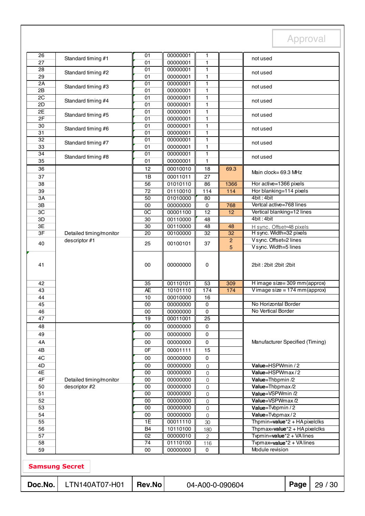| Doc.No.               | LTN140AT07-H01          | <b>Rev.No</b>        | Page<br>04-A00-0-090604<br>29 / 30 |                                 |                     |                                                            |  |  |
|-----------------------|-------------------------|----------------------|------------------------------------|---------------------------------|---------------------|------------------------------------------------------------|--|--|
| <b>Samsung Secret</b> |                         |                      |                                    |                                 |                     |                                                            |  |  |
|                       |                         |                      |                                    |                                 |                     |                                                            |  |  |
| 59                    |                         | 00                   | 00000000                           | $\mathbf 0$                     |                     | Module revision                                            |  |  |
| 58                    |                         | 74                   | 01110100                           | $\mathbf{2}$<br>116             |                     | Typmax=value*2 + VAlines                                   |  |  |
| 56<br>57              |                         | B <sub>4</sub><br>02 | 10110100<br>00000010               | 180                             |                     | Thpmax=value*2 + HA pixelclks<br>Typmin=value*2 + VA lines |  |  |
| 55                    |                         | $\overline{1E}$      | 00011110                           | 30                              |                     | Thpmin=value <sup>*</sup> 2 + HA pixelclks                 |  |  |
| 54                    |                         | 00                   | 00000000                           | $\mathsf{O}\xspace$             |                     | Value=Tvbpmax/2                                            |  |  |
| 53                    |                         | 00                   | 00000000                           | $\mathbf 0$                     |                     | Value=Tvbpmin / 2                                          |  |  |
| 51<br>52              |                         | 00<br>00             | 00000000<br>00000000               | $\mathsf{O}\xspace$<br>$\Omega$ |                     | Value=VSPWmax/2                                            |  |  |
| 50                    | descriptor #2           | 00                   | 00000000                           | $\mathbf 0$                     |                     | Value=Thbpmax/2<br>Value=VSPWmin /2                        |  |  |
| 4F                    | Detailed timing/monitor | $\overline{00}$      | 00000000                           | $\Omega$                        |                     | Value=Thbpmin /2                                           |  |  |
| 4E                    |                         | 00                   | 00000000                           | $\mathsf{O}\xspace$             |                     | Value=HSPWmax/2                                            |  |  |
| 4D                    |                         | 00                   | 00000000                           | 0                               |                     | Value=HSPWmin / 2                                          |  |  |
| 4C                    |                         | 00                   | 00000000                           | $\mathbf 0$                     |                     |                                                            |  |  |
| 4B                    |                         | 0F                   | 00001111                           | 15                              |                     |                                                            |  |  |
| 4A                    |                         | 00                   | 00000000                           | 0                               |                     | Manufacturer Specified (Timing)                            |  |  |
| 49                    |                         | 00                   | 00000000                           | 0                               |                     |                                                            |  |  |
| 48                    |                         | 00                   | 00000000                           | 0                               |                     |                                                            |  |  |
| 47                    |                         | 19                   | 00011001                           | 25                              |                     |                                                            |  |  |
| 45<br>46              |                         | 00<br>00             | 00000000<br>00000000               | $\mathbf 0$<br>0                |                     | No Horizontal Border<br>No Vertical Border                 |  |  |
| 44                    |                         | 10                   | 00010000                           | 16                              |                     |                                                            |  |  |
| 43                    |                         | <b>AE</b>            | 10101110                           | 174                             | $174$               | Vimage size = $174$ mm(approx)                             |  |  |
| 42                    |                         | 35                   | 00110101                           | 53                              | 309                 | H image size=309 mm(approx)                                |  |  |
| 41                    |                         | 00                   | 00000000                           | 0                               |                     | 2bit: 2bit: 2bit: 2bit                                     |  |  |
| 40                    | descriptor #1           | 25                   | 00100101                           | 37                              | $\overline{c}$<br>5 | V sync. Offset=2 lines<br>V sync. Width=5 lines            |  |  |
| 3F                    | Detailed timing/monitor | 20                   | 00100000                           | 32                              | 32                  | H sync. Width=32 pixels                                    |  |  |
| 3E                    |                         | 30                   | 00110000                           | 48                              | 48                  | H sync. Offset=48 pixels                                   |  |  |
| 3D                    |                         | 30                   | 00110000                           | 48                              |                     | 4bit: 4bit                                                 |  |  |
| 3C                    |                         | $\overline{OC}$      | 00001100                           | $\overline{12}$                 | 12                  | Vertical blanking=12 lines                                 |  |  |
| $3\mathsf{B}$         |                         | 00                   | 00000000                           | $\pmb{0}$                       | 768                 | Vertcal active=768 lines                                   |  |  |
| 3A                    |                         | $\overline{50}$      | 01010000                           | $\overline{80}$                 |                     | 4bit: 4bit                                                 |  |  |
| 38<br>39              |                         | 56<br>72             | 01010110<br>01110010               | 86<br>$\frac{114}{x}$           | 114                 | Hor blanking=114 pixels                                    |  |  |
| 37                    |                         | 1B                   | 00011011                           | 27                              | 1366                | Hor active=1366 pixels                                     |  |  |
| 36                    |                         | 12                   | 00010010                           | 18                              | 69.3                | Main clock= 69.3 MHz                                       |  |  |
| 35                    |                         | 01                   | 00000001                           | 1                               |                     |                                                            |  |  |
| 34                    | Standard timing #8      | 01                   | 00000001                           | 1                               |                     | not used                                                   |  |  |
| 33                    |                         | 01                   | 00000001                           | 1                               |                     |                                                            |  |  |
| 32                    | Standard timing #7      | $\overline{01}$      | 00000001                           | $\mathbf{1}$                    |                     | not used                                                   |  |  |
| 31                    | Standard timing #6      | 01                   | 00000001                           | $\mathbf{1}$                    |                     | not used                                                   |  |  |
| 30                    |                         | $\overline{01}$      | 00000001                           | $\mathbf{1}$                    |                     |                                                            |  |  |
| 2E<br>2F              | Standard timing #5      | 01<br>01             | 00000001<br>00000001               | $\mathbf{1}$<br>$\mathbf{1}$    |                     | not used                                                   |  |  |
| 2D                    |                         | 01                   | 00000001                           | 1                               |                     |                                                            |  |  |
| 2C                    | Standard timing #4      | 01                   | 00000001                           | 1                               |                     | not used                                                   |  |  |
| 2B                    |                         | 01                   | 00000001                           | 1                               |                     |                                                            |  |  |
| 2A                    | Standard timing #3      | 01                   | 00000001                           | 1                               |                     | not used                                                   |  |  |
| 29                    | Standard timing #2      | 01                   | 00000001                           | 1                               |                     | not used                                                   |  |  |
| 28                    |                         | 01                   | 00000001                           | 1                               |                     |                                                            |  |  |
| 26<br>27              | Standard timing #1      | 01<br>01             | 00000001<br>00000001               | 1<br>$\mathbf{1}$               |                     | not used                                                   |  |  |
|                       |                         |                      |                                    |                                 |                     |                                                            |  |  |